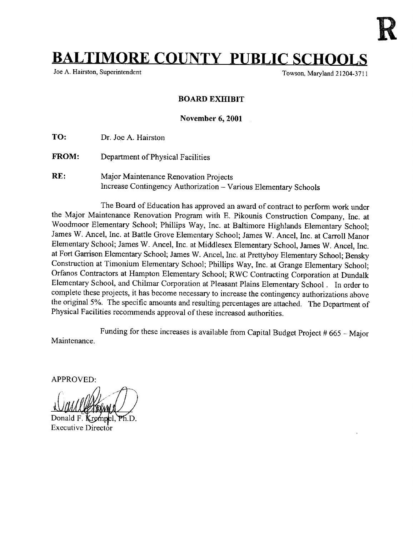

## **BALTIMORE COUNTY PUBLIC SCHOOLS**

Towson, Maryland 21204-3711

## BOARD EXHIBIT

November 6, 2001

TO: Dr. Joe A. Hairston

- FROM: Department of Physical Facilities
- RE: Major Maintenance Renovation Projects Increase Contingency Authorization - Various Elementary Schools

The Board of Education has approved an award of contract to perform work under the Major Maintenance Renovation Program with E. Pikounis Construction Company, Inc. at Woodmoor Elementary School; Phillips Way, Inc . at Baltimore Highlands Elementary School; James W. Ancel, Inc . at Battle Grove Elementary School; James W. Ancel, Inc. at Carroll Manor Elementary School; James W. Ancel, Inc. at Middlesex Elementary School, James W. Ancel, Inc. at Fort Garrison Elementary School; James W. Ancel, Inc. at Prettyboy Elementary School; Bensky Construction at Timonium Elementary School; Phillips Way, Inc. at Grange Elementary School; Orfanos Contractors at Hampton Elementary School; RWC Contracting Corporation at Dundalk Elementary School, and Chilmar Corporation at Pleasant Plains Elementary School . In order to complete these projects, it has become necessary to increase the contingency authorizations above the original 5%. The specific amounts and resulting percentages are attached. The Department of Physical Facilities recommends approval of these increased authorities .

Maintenance . Funding for these increases is available from Capital Budget Project # 665 - Major

APPROVED:

Donald F. **K** Ph.D. Executive Director